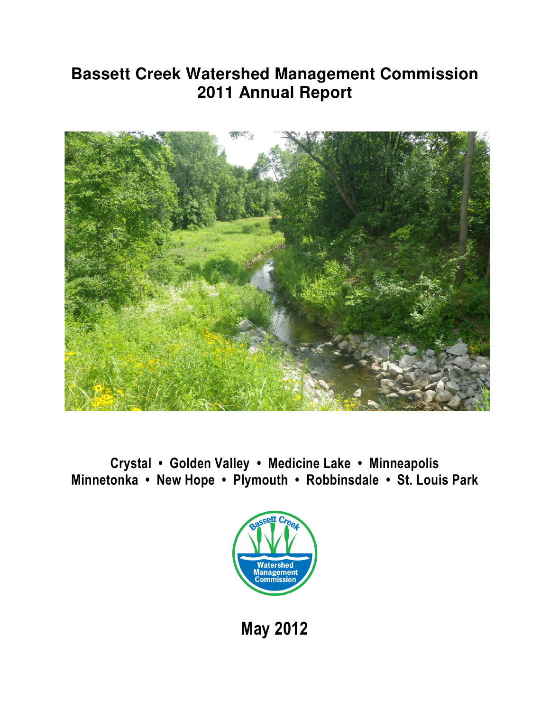# **Bassett Creek Watershed Management Commission 2011 Annual Report**



Crystal • Golden Valley • Medicine Lake • Minneapolis Minnetonka • New Hope • Plymouth • Robbinsdale • St. Louis Park



May 2012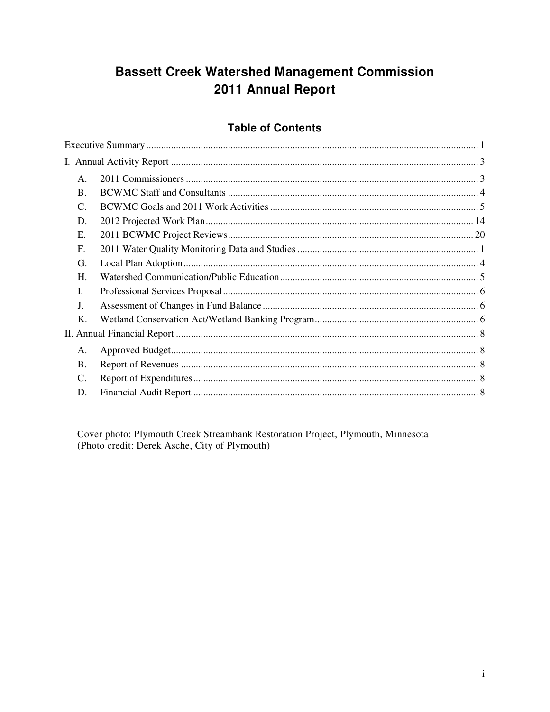## **Bassett Creek Watershed Management Commission** 2011 Annual Report

### **Table of Contents**

| Α.        |  |
|-----------|--|
| <b>B.</b> |  |
| C.        |  |
| D.        |  |
| Е.        |  |
| F.        |  |
| G.        |  |
| H.        |  |
| L.        |  |
| J.        |  |
| Κ.        |  |
|           |  |
| A.        |  |
| Β.        |  |
| C.        |  |
| D.        |  |
|           |  |

Cover photo: Plymouth Creek Streambank Restoration Project, Plymouth, Minnesota (Photo credit: Derek Asche, City of Plymouth)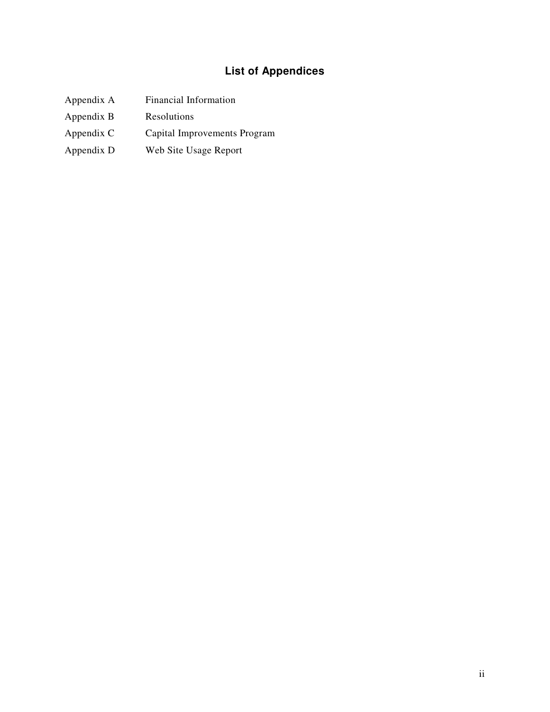## **List of Appendices**

- Appendix A Financial Information
- Appendix B Resolutions
- Appendix C Capital Improvements Program
- Appendix D Web Site Usage Report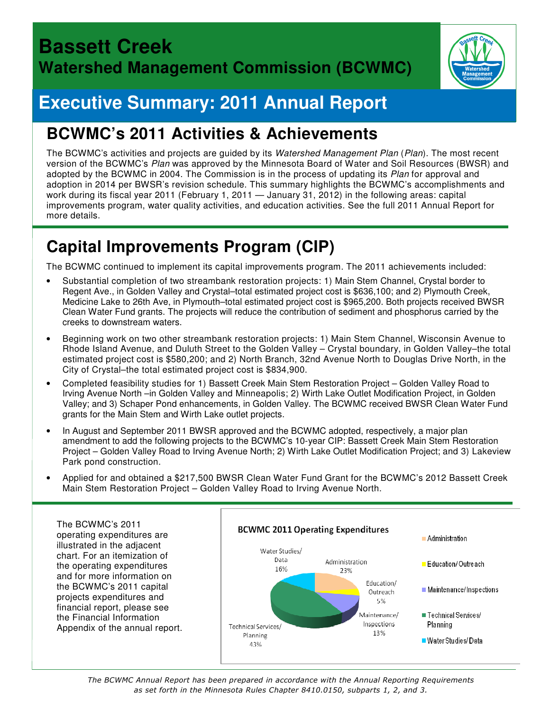

# **Executive Summary: 2011 Annual Report**

# **BCWMC's 2011 Activities & Achievements**

The BCWMC's activities and projects are guided by its Watershed Management Plan (Plan). The most recent version of the BCWMC's Plan was approved by the Minnesota Board of Water and Soil Resources (BWSR) and adopted by the BCWMC in 2004. The Commission is in the process of updating its Plan for approval and adoption in 2014 per BWSR's revision schedule. This summary highlights the BCWMC's accomplishments and work during its fiscal year 2011 (February 1, 2011 — January 31, 2012) in the following areas: capital improvements program, water quality activities, and education activities. See the full 2011 Annual Report for more details.

# **Capital Improvements Program (CIP)**

The BCWMC continued to implement its capital improvements program. The 2011 achievements included:

- Substantial completion of two streambank restoration projects: 1) Main Stem Channel, Crystal border to Regent Ave., in Golden Valley and Crystal–total estimated project cost is \$636,100; and 2) Plymouth Creek, Medicine Lake to 26th Ave, in Plymouth–total estimated project cost is \$965,200. Both projects received BWSR Clean Water Fund grants. The projects will reduce the contribution of sediment and phosphorus carried by the creeks to downstream waters.
- Beginning work on two other streambank restoration projects: 1) Main Stem Channel, Wisconsin Avenue to Rhode Island Avenue, and Duluth Street to the Golden Valley – Crystal boundary, in Golden Valley–the total estimated project cost is \$580,200; and 2) North Branch, 32nd Avenue North to Douglas Drive North, in the City of Crystal–the total estimated project cost is \$834,900.
- Completed feasibility studies for 1) Bassett Creek Main Stem Restoration Project Golden Valley Road to Irving Avenue North –in Golden Valley and Minneapolis; 2) Wirth Lake Outlet Modification Project, in Golden Valley; and 3) Schaper Pond enhancements, in Golden Valley. The BCWMC received BWSR Clean Water Fund grants for the Main Stem and Wirth Lake outlet projects.
- In August and September 2011 BWSR approved and the BCWMC adopted, respectively, a major plan amendment to add the following projects to the BCWMC's 10-year CIP: Bassett Creek Main Stem Restoration Project – Golden Valley Road to Irving Avenue North; 2) Wirth Lake Outlet Modification Project; and 3) Lakeview Park pond construction.
- Applied for and obtained a \$217,500 BWSR Clean Water Fund Grant for the BCWMC's 2012 Bassett Creek Main Stem Restoration Project – Golden Valley Road to Irving Avenue North.



The BCWMC Annual Report has been prepared in accordance with the Annual Reporting Requirements as set forth in the Minnesota Rules Chapter 8410.0150, subparts 1, 2, and 3.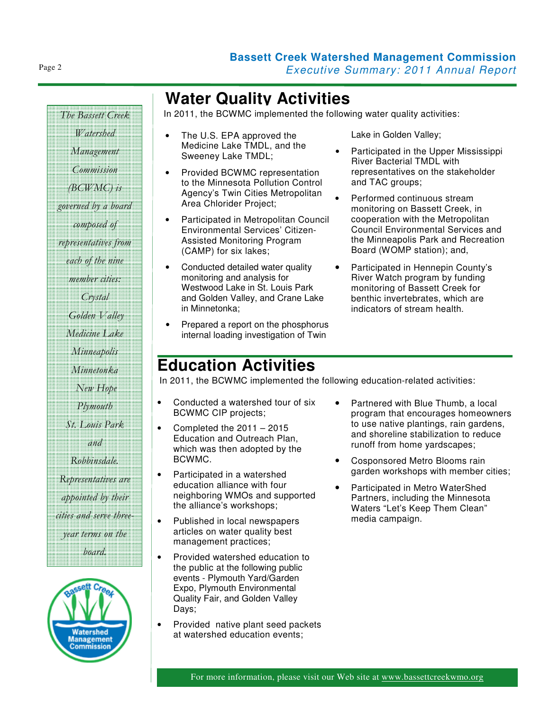## **Water Quality Activities**

In 2011, the BCWMC implemented the following water quality activities:

- The U.S. EPA approved the Medicine Lake TMDL, and the Sweeney Lake TMDL;
- Provided BCWMC representation to the Minnesota Pollution Control Agency's Twin Cities Metropolitan Area Chlorider Project;
- Participated in Metropolitan Council Environmental Services' Citizen-Assisted Monitoring Program (CAMP) for six lakes;
- Conducted detailed water quality monitoring and analysis for Westwood Lake in St. Louis Park and Golden Valley, and Crane Lake in Minnetonka;
- Prepared a report on the phosphorus internal loading investigation of Twin

Lake in Golden Valley;

- Participated in the Upper Mississippi River Bacterial TMDL with representatives on the stakeholder and TAC groups;
- Performed continuous stream monitoring on Bassett Creek, in cooperation with the Metropolitan Council Environmental Services and the Minneapolis Park and Recreation Board (WOMP station); and,
- Participated in Hennepin County's River Watch program by funding monitoring of Bassett Creek for benthic invertebrates, which are indicators of stream health.

## **Education Activities**

In 2011, the BCWMC implemented the following education-related activities:

- Conducted a watershed tour of six BCWMC CIP projects;
- Completed the 2011 2015 Education and Outreach Plan, which was then adopted by the BCWMC.
- Participated in a watershed education alliance with four neighboring WMOs and supported the alliance's workshops;
- Published in local newspapers articles on water quality best management practices;
- Provided watershed education to the public at the following public events - Plymouth Yard/Garden Expo, Plymouth Environmental Quality Fair, and Golden Valley Days;
- Provided native plant seed packets at watershed education events;
- Partnered with Blue Thumb, a local program that encourages homeowners to use native plantings, rain gardens, and shoreline stabilization to reduce runoff from home yardscapes;
- Cosponsored Metro Blooms rain garden workshops with member cities;
- Participated in Metro WaterShed Partners, including the Minnesota Waters "Let's Keep Them Clean" media campaign.

Watershed Management Commission (BCWMC) is governed by a board composed of representatives from each of the nine member cities: Crystal Golden Valley Medicine Lake Minneapolis Minnetonka New Hope **Plymouth** St. Louis Park and Robbinsdale. Representatives are appointed by their cities and serve threeyear terms on the board.

> Vatershed Management

The Bassett Creek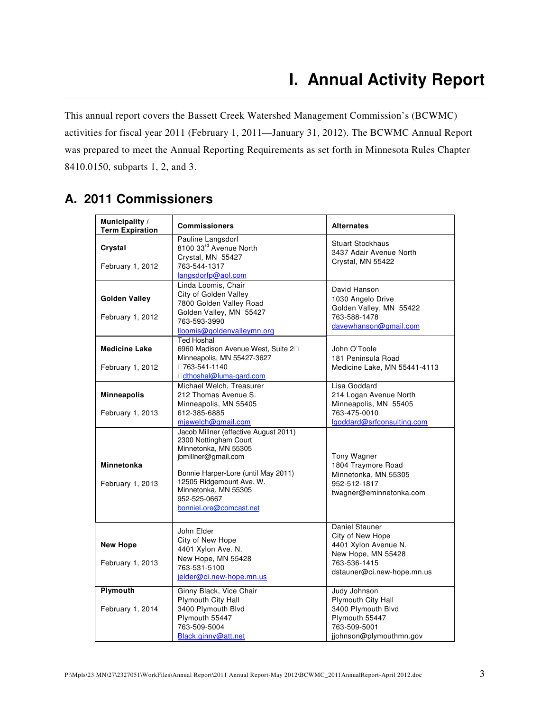This annual report covers the Bassett Creek Watershed Management Commission's (BCWMC) activities for fiscal year 2011 (February 1, 2011—January 31, 2012). The BCWMC Annual Report was prepared to meet the Annual Reporting Requirements as set forth in Minnesota Rules Chapter 8410.0150, subparts 1, 2, and 3.

|  |  | A. 2011 Commissioners |
|--|--|-----------------------|
|--|--|-----------------------|

| Municipality /<br><b>Term Expiration</b> | <b>Commissioners</b>                                                                                                                                                                                                                               | <b>Alternates</b>                                                                                                              |
|------------------------------------------|----------------------------------------------------------------------------------------------------------------------------------------------------------------------------------------------------------------------------------------------------|--------------------------------------------------------------------------------------------------------------------------------|
| Crystal<br>February 1, 2012              | Pauline Langsdorf<br>8100 33rd Avenue North<br>Crystal, MN 55427<br>763-544-1317<br>langsdorfp@aol.com                                                                                                                                             | <b>Stuart Stockhaus</b><br>3437 Adair Avenue North<br>Crystal, MN 55422                                                        |
| <b>Golden Valley</b><br>February 1, 2012 | Linda Loomis, Chair<br>City of Golden Valley<br>7800 Golden Valley Road<br>Golden Valley, MN 55427<br>763-593-3990<br>lloomis@goldenvalleymn.org                                                                                                   | David Hanson<br>1030 Angelo Drive<br>Golden Valley, MN 55422<br>763-588-1478<br>davewhanson@gmail.com                          |
| <b>Medicine Lake</b><br>February 1, 2012 | <b>Ted Hoshal</b><br>6960 Madison Avenue West, Suite 2<br>Minneapolis, MN 55427-3627<br>763-541-1140<br>dthoshal@luma-gard.com                                                                                                                     | John O'Toole<br>181 Peninsula Road<br>Medicine Lake, MN 55441-4113                                                             |
| <b>Minneapolis</b><br>February 1, 2013   | Michael Welch, Treasurer<br>212 Thomas Avenue S.<br>Minneapolis, MN 55405<br>612-385-6885<br>mjewelch@gmail.com                                                                                                                                    | Lisa Goddard<br>214 Logan Avenue North<br>Minneapolis, MN 55405<br>763-475-0010<br>lgoddard@srfconsulting.com                  |
| <b>Minnetonka</b><br>February 1, 2013    | Jacob Millner (effective August 2011)<br>2300 Nottingham Court<br>Minnetonka, MN 55305<br>jbmillner@gmail.com<br>Bonnie Harper-Lore (until May 2011)<br>12505 Ridgemount Ave. W.<br>Minnetonka, MN 55305<br>952-525-0667<br>bonnieLore@comcast.net | Tony Wagner<br>1804 Traymore Road<br>Minnetonka, MN 55305<br>952-512-1817<br>twagner@eminnetonka.com                           |
| <b>New Hope</b><br>February 1, 2013      | John Elder<br>City of New Hope<br>4401 Xylon Ave. N.<br>New Hope, MN 55428<br>763-531-5100<br>jelder@ci.new-hope.mn.us                                                                                                                             | Daniel Stauner<br>City of New Hope<br>4401 Xylon Avenue N.<br>New Hope, MN 55428<br>763-536-1415<br>dstauner@ci.new-hope.mn.us |
| Plymouth<br>February 1, 2014             | Ginny Black, Vice Chair<br>Plymouth City Hall<br>3400 Plymouth Blvd<br>Plymouth 55447<br>763-509-5004<br>Black.ginny@att.net                                                                                                                       | Judy Johnson<br>Plymouth City Hall<br>3400 Plymouth Blvd<br>Plymouth 55447<br>763-509-5001<br>jjohnson@plymouthmn.gov          |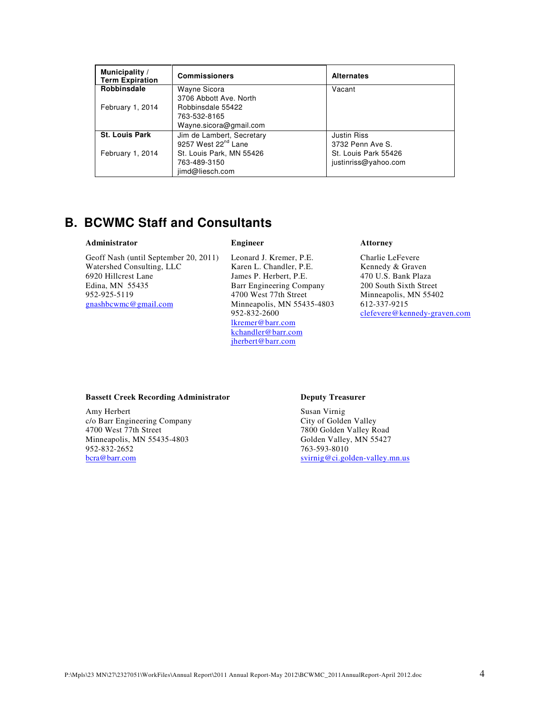| Municipality /<br><b>Term Expiration</b> | <b>Commissioners</b>            | <b>Alternates</b>    |
|------------------------------------------|---------------------------------|----------------------|
| Robbinsdale                              | Wayne Sicora                    | Vacant               |
|                                          | 3706 Abbott Ave. North          |                      |
| February 1, 2014                         | Robbinsdale 55422               |                      |
|                                          | 763-532-8165                    |                      |
|                                          | Wayne.sicora@gmail.com          |                      |
| <b>St. Louis Park</b>                    | Jim de Lambert, Secretary       | <b>Justin Riss</b>   |
|                                          | 9257 West 22 <sup>nd</sup> Lane | 3732 Penn Ave S.     |
| February 1, 2014                         | St. Louis Park, MN 55426        | St. Louis Park 55426 |
|                                          | 763-489-3150                    | justinriss@yahoo.com |
|                                          | jimd@liesch.com                 |                      |

## **B. BCWMC Staff and Consultants**

#### **Administrator**

Geoff Nash (until September 20, 2011) Watershed Consulting, LLC 6920 Hillcrest Lane Edina, MN 55435 952-925-5119 gnashbcwmc@gmail.com

#### **Engineer**

Leonard J. Kremer, P.E. Karen L. Chandler, P.E. James P. Herbert, P.E. Barr Engineering Company 4700 West 77th Street Minneapolis, MN 55435-4803 952-832-2600 lkremer@barr.com kchandler@barr.com jherbert@barr.com

#### **Attorney**

Charlie LeFevere Kennedy & Graven 470 U.S. Bank Plaza 200 South Sixth Street Minneapolis, MN 55402 612-337-9215 clefevere@kennedy-graven.com

#### **Bassett Creek Recording Administrator**

Amy Herbert c/o Barr Engineering Company 4700 West 77th Street Minneapolis, MN 55435-4803 952-832-2652 bcra@barr.com

#### **Deputy Treasurer**

Susan Virnig City of Golden Valley 7800 Golden Valley Road Golden Valley, MN 55427 763-593-8010 svirnig@ci.golden-valley.mn.us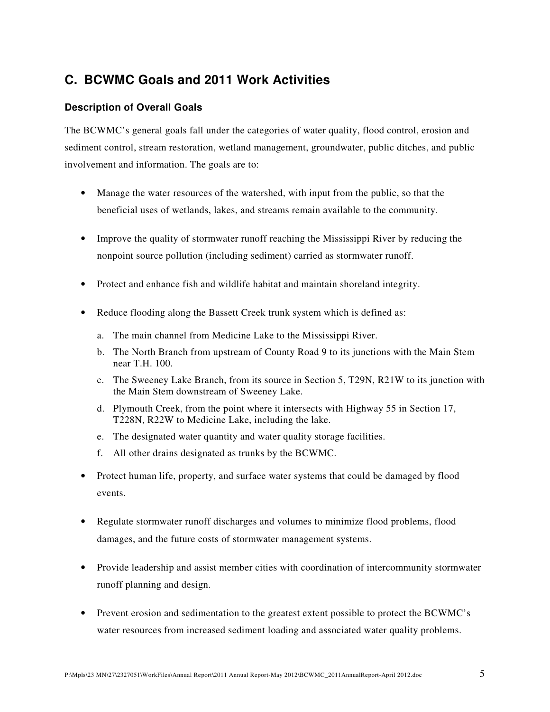## **C. BCWMC Goals and 2011 Work Activities**

#### **Description of Overall Goals**

The BCWMC's general goals fall under the categories of water quality, flood control, erosion and sediment control, stream restoration, wetland management, groundwater, public ditches, and public involvement and information. The goals are to:

- Manage the water resources of the watershed, with input from the public, so that the beneficial uses of wetlands, lakes, and streams remain available to the community.
- Improve the quality of stormwater runoff reaching the Mississippi River by reducing the nonpoint source pollution (including sediment) carried as stormwater runoff.
- Protect and enhance fish and wildlife habitat and maintain shoreland integrity.
- Reduce flooding along the Bassett Creek trunk system which is defined as:
	- a. The main channel from Medicine Lake to the Mississippi River.
	- b. The North Branch from upstream of County Road 9 to its junctions with the Main Stem near T.H. 100.
	- c. The Sweeney Lake Branch, from its source in Section 5, T29N, R21W to its junction with the Main Stem downstream of Sweeney Lake.
	- d. Plymouth Creek, from the point where it intersects with Highway 55 in Section 17, T228N, R22W to Medicine Lake, including the lake.
	- e. The designated water quantity and water quality storage facilities.
	- f. All other drains designated as trunks by the BCWMC.
- Protect human life, property, and surface water systems that could be damaged by flood events.
- Regulate stormwater runoff discharges and volumes to minimize flood problems, flood damages, and the future costs of stormwater management systems.
- Provide leadership and assist member cities with coordination of intercommunity stormwater runoff planning and design.
- Prevent erosion and sedimentation to the greatest extent possible to protect the BCWMC's water resources from increased sediment loading and associated water quality problems.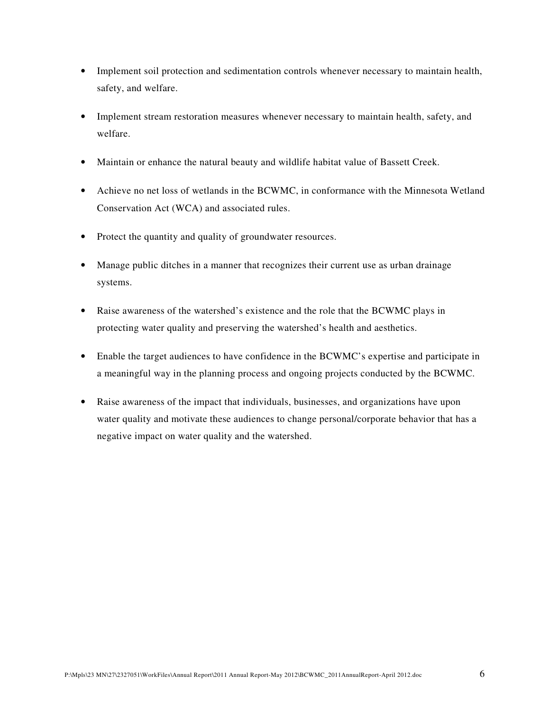- Implement soil protection and sedimentation controls whenever necessary to maintain health, safety, and welfare.
- Implement stream restoration measures whenever necessary to maintain health, safety, and welfare.
- Maintain or enhance the natural beauty and wildlife habitat value of Bassett Creek.
- Achieve no net loss of wetlands in the BCWMC, in conformance with the Minnesota Wetland Conservation Act (WCA) and associated rules.
- Protect the quantity and quality of groundwater resources.
- Manage public ditches in a manner that recognizes their current use as urban drainage systems.
- Raise awareness of the watershed's existence and the role that the BCWMC plays in protecting water quality and preserving the watershed's health and aesthetics.
- Enable the target audiences to have confidence in the BCWMC's expertise and participate in a meaningful way in the planning process and ongoing projects conducted by the BCWMC.
- Raise awareness of the impact that individuals, businesses, and organizations have upon water quality and motivate these audiences to change personal/corporate behavior that has a negative impact on water quality and the watershed.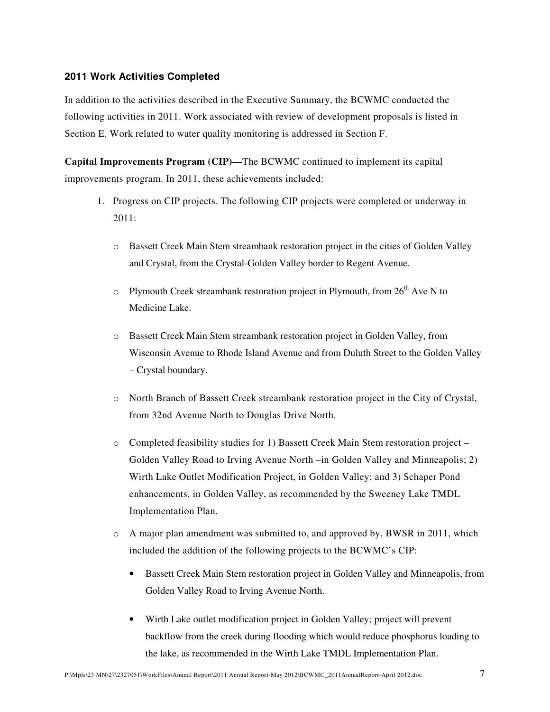#### **2011 Work Activities Completed**

In addition to the activities described in the Executive Summary, the BCWMC conducted the following activities in 2011. Work associated with review of development proposals is listed in Section E. Work related to water quality monitoring is addressed in Section F.

**Capital Improvements Program (CIP)—**The BCWMC continued to implement its capital improvements program. In 2011, these achievements included:

- 1. Progress on CIP projects. The following CIP projects were completed or underway in 2011:
	- o Bassett Creek Main Stem streambank restoration project in the cities of Golden Valley and Crystal, from the Crystal-Golden Valley border to Regent Avenue.
	- o Plymouth Creek streambank restoration project in Plymouth, from  $26<sup>th</sup>$  Ave N to Medicine Lake.
	- o Bassett Creek Main Stem streambank restoration project in Golden Valley, from Wisconsin Avenue to Rhode Island Avenue and from Duluth Street to the Golden Valley – Crystal boundary.
	- o North Branch of Bassett Creek streambank restoration project in the City of Crystal, from 32nd Avenue North to Douglas Drive North.
	- o Completed feasibility studies for 1) Bassett Creek Main Stem restoration project Golden Valley Road to Irving Avenue North –in Golden Valley and Minneapolis; 2) Wirth Lake Outlet Modification Project, in Golden Valley; and 3) Schaper Pond enhancements, in Golden Valley, as recommended by the Sweeney Lake TMDL Implementation Plan.
	- o A major plan amendment was submitted to, and approved by, BWSR in 2011, which included the addition of the following projects to the BCWMC's CIP:
		- Bassett Creek Main Stem restoration project in Golden Valley and Minneapolis, from Golden Valley Road to Irving Avenue North.
		- Wirth Lake outlet modification project in Golden Valley; project will prevent backflow from the creek during flooding which would reduce phosphorus loading to the lake, as recommended in the Wirth Lake TMDL Implementation Plan.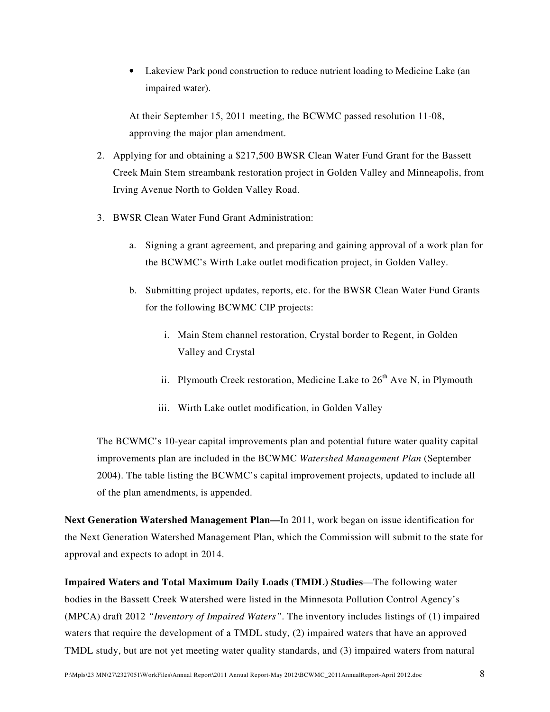• Lakeview Park pond construction to reduce nutrient loading to Medicine Lake (an impaired water).

At their September 15, 2011 meeting, the BCWMC passed resolution 11-08, approving the major plan amendment.

- 2. Applying for and obtaining a \$217,500 BWSR Clean Water Fund Grant for the Bassett Creek Main Stem streambank restoration project in Golden Valley and Minneapolis, from Irving Avenue North to Golden Valley Road.
- 3. BWSR Clean Water Fund Grant Administration:
	- a. Signing a grant agreement, and preparing and gaining approval of a work plan for the BCWMC's Wirth Lake outlet modification project, in Golden Valley.
	- b. Submitting project updates, reports, etc. for the BWSR Clean Water Fund Grants for the following BCWMC CIP projects:
		- i. Main Stem channel restoration, Crystal border to Regent, in Golden Valley and Crystal
		- ii. Plymouth Creek restoration, Medicine Lake to  $26<sup>th</sup>$  Ave N, in Plymouth
		- iii. Wirth Lake outlet modification, in Golden Valley

The BCWMC's 10-year capital improvements plan and potential future water quality capital improvements plan are included in the BCWMC *Watershed Management Plan* (September 2004). The table listing the BCWMC's capital improvement projects, updated to include all of the plan amendments, is appended.

**Next Generation Watershed Management Plan—**In 2011, work began on issue identification for the Next Generation Watershed Management Plan, which the Commission will submit to the state for approval and expects to adopt in 2014.

**Impaired Waters and Total Maximum Daily Loads (TMDL) Studies**—The following water bodies in the Bassett Creek Watershed were listed in the Minnesota Pollution Control Agency's (MPCA) draft 2012 *"Inventory of Impaired Waters"*. The inventory includes listings of (1) impaired waters that require the development of a TMDL study, (2) impaired waters that have an approved TMDL study, but are not yet meeting water quality standards, and (3) impaired waters from natural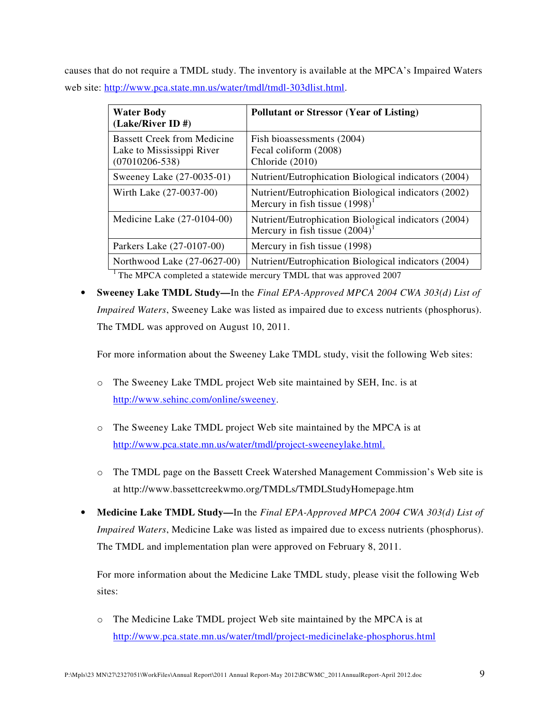causes that do not require a TMDL study. The inventory is available at the MPCA's Impaired Waters web site: http://www.pca.state.mn.us/water/tmdl/tmdl-303dlist.html.

| <b>Water Body</b><br>$(Lake/River ID \#)$                                             | <b>Pollutant or Stressor (Year of Listing)</b>                                            |
|---------------------------------------------------------------------------------------|-------------------------------------------------------------------------------------------|
| <b>Bassett Creek from Medicine</b><br>Lake to Mississippi River<br>$(07010206 - 538)$ | Fish bioassessments (2004)<br>Fecal coliform (2008)<br>Chloride (2010)                    |
| Sweeney Lake (27-0035-01)                                                             | Nutrient/Eutrophication Biological indicators (2004)                                      |
| Wirth Lake (27-0037-00)                                                               | Nutrient/Eutrophication Biological indicators (2002)<br>Mercury in fish tissue $(1998)^1$ |
| Medicine Lake $(27-0104-00)$                                                          | Nutrient/Eutrophication Biological indicators (2004)<br>Mercury in fish tissue $(2004)^1$ |
| Parkers Lake (27-0107-00)                                                             | Mercury in fish tissue (1998)                                                             |
| Northwood Lake (27-0627-00)                                                           | Nutrient/Eutrophication Biological indicators (2004)                                      |
|                                                                                       |                                                                                           |

<sup>1</sup> The MPCA completed a statewide mercury TMDL that was approved 2007

• **Sweeney Lake TMDL Study—**In the *Final EPA-Approved MPCA 2004 CWA 303(d) List of Impaired Waters*, Sweeney Lake was listed as impaired due to excess nutrients (phosphorus). The TMDL was approved on August 10, 2011.

For more information about the Sweeney Lake TMDL study, visit the following Web sites:

- o The Sweeney Lake TMDL project Web site maintained by SEH, Inc. is at http://www.sehinc.com/online/sweeney.
- o The Sweeney Lake TMDL project Web site maintained by the MPCA is at http://www.pca.state.mn.us/water/tmdl/project-sweeneylake.html.
- o The TMDL page on the Bassett Creek Watershed Management Commission's Web site is at http://www.bassettcreekwmo.org/TMDLs/TMDLStudyHomepage.htm
- **Medicine Lake TMDL Study—**In the *Final EPA-Approved MPCA 2004 CWA 303(d) List of Impaired Waters*, Medicine Lake was listed as impaired due to excess nutrients (phosphorus). The TMDL and implementation plan were approved on February 8, 2011.

For more information about the Medicine Lake TMDL study, please visit the following Web sites:

o The Medicine Lake TMDL project Web site maintained by the MPCA is at http://www.pca.state.mn.us/water/tmdl/project-medicinelake-phosphorus.html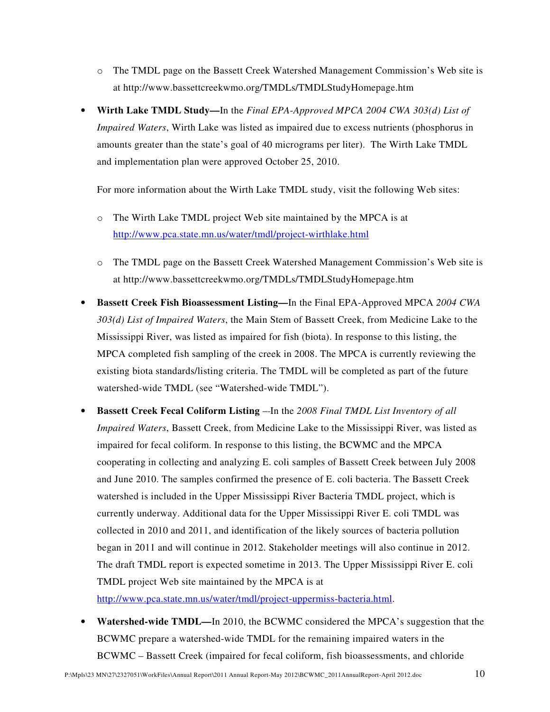- o The TMDL page on the Bassett Creek Watershed Management Commission's Web site is at http://www.bassettcreekwmo.org/TMDLs/TMDLStudyHomepage.htm
- **Wirth Lake TMDL Study—**In the *Final EPA-Approved MPCA 2004 CWA 303(d) List of Impaired Waters*, Wirth Lake was listed as impaired due to excess nutrients (phosphorus in amounts greater than the state's goal of 40 micrograms per liter). The Wirth Lake TMDL and implementation plan were approved October 25, 2010.

For more information about the Wirth Lake TMDL study, visit the following Web sites:

- o The Wirth Lake TMDL project Web site maintained by the MPCA is at http://www.pca.state.mn.us/water/tmdl/project-wirthlake.html
- o The TMDL page on the Bassett Creek Watershed Management Commission's Web site is at http://www.bassettcreekwmo.org/TMDLs/TMDLStudyHomepage.htm
- **Bassett Creek Fish Bioassessment Listing—**In the Final EPA-Approved MPCA *2004 CWA 303(d) List of Impaired Waters*, the Main Stem of Bassett Creek, from Medicine Lake to the Mississippi River, was listed as impaired for fish (biota). In response to this listing, the MPCA completed fish sampling of the creek in 2008. The MPCA is currently reviewing the existing biota standards/listing criteria. The TMDL will be completed as part of the future watershed-wide TMDL (see "Watershed-wide TMDL").
- **Bassett Creek Fecal Coliform Listing** In the *2008 Final TMDL List Inventory of all Impaired Waters*, Bassett Creek, from Medicine Lake to the Mississippi River, was listed as impaired for fecal coliform. In response to this listing, the BCWMC and the MPCA cooperating in collecting and analyzing E. coli samples of Bassett Creek between July 2008 and June 2010. The samples confirmed the presence of E. coli bacteria. The Bassett Creek watershed is included in the Upper Mississippi River Bacteria TMDL project, which is currently underway. Additional data for the Upper Mississippi River E. coli TMDL was collected in 2010 and 2011, and identification of the likely sources of bacteria pollution began in 2011 and will continue in 2012. Stakeholder meetings will also continue in 2012. The draft TMDL report is expected sometime in 2013. The Upper Mississippi River E. coli TMDL project Web site maintained by the MPCA is at http://www.pca.state.mn.us/water/tmdl/project-uppermiss-bacteria.html.
- **Watershed-wide TMDL—**In 2010, the BCWMC considered the MPCA's suggestion that the BCWMC prepare a watershed-wide TMDL for the remaining impaired waters in the BCWMC – Bassett Creek (impaired for fecal coliform, fish bioassessments, and chloride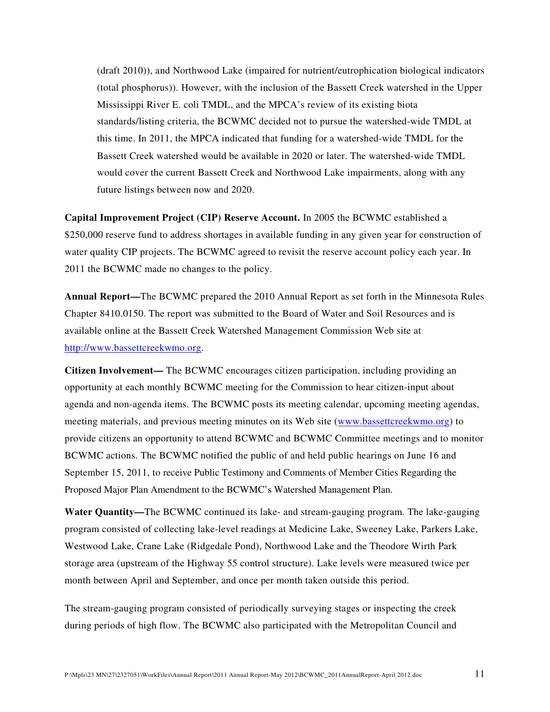(draft 2010)), and Northwood Lake (impaired for nutrient/eutrophication biological indicators (total phosphorus)). However, with the inclusion of the Bassett Creek watershed in the Upper Mississippi River E. coli TMDL, and the MPCA's review of its existing biota standards/listing criteria, the BCWMC decided not to pursue the watershed-wide TMDL at this time. In 2011, the MPCA indicated that funding for a watershed-wide TMDL for the Bassett Creek watershed would be available in 2020 or later. The watershed-wide TMDL would cover the current Bassett Creek and Northwood Lake impairments, along with any future listings between now and 2020.

**Capital Improvement Project (CIP) Reserve Account.** In 2005 the BCWMC established a \$250,000 reserve fund to address shortages in available funding in any given year for construction of water quality CIP projects. The BCWMC agreed to revisit the reserve account policy each year. In 2011 the BCWMC made no changes to the policy.

**Annual Report—**The BCWMC prepared the 2010 Annual Report as set forth in the Minnesota Rules Chapter 8410.0150. The report was submitted to the Board of Water and Soil Resources and is available online at the Bassett Creek Watershed Management Commission Web site at http://www.bassettcreekwmo.org.

**Citizen Involvement—** The BCWMC encourages citizen participation, including providing an opportunity at each monthly BCWMC meeting for the Commission to hear citizen-input about agenda and non-agenda items. The BCWMC posts its meeting calendar, upcoming meeting agendas, meeting materials, and previous meeting minutes on its Web site (www.bassettcreekwmo.org) to provide citizens an opportunity to attend BCWMC and BCWMC Committee meetings and to monitor BCWMC actions. The BCWMC notified the public of and held public hearings on June 16 and September 15, 2011, to receive Public Testimony and Comments of Member Cities Regarding the Proposed Major Plan Amendment to the BCWMC's Watershed Management Plan.

**Water Quantity—**The BCWMC continued its lake- and stream-gauging program. The lake-gauging program consisted of collecting lake-level readings at Medicine Lake, Sweeney Lake, Parkers Lake, Westwood Lake, Crane Lake (Ridgedale Pond), Northwood Lake and the Theodore Wirth Park storage area (upstream of the Highway 55 control structure). Lake levels were measured twice per month between April and September, and once per month taken outside this period.

The stream-gauging program consisted of periodically surveying stages or inspecting the creek during periods of high flow. The BCWMC also participated with the Metropolitan Council and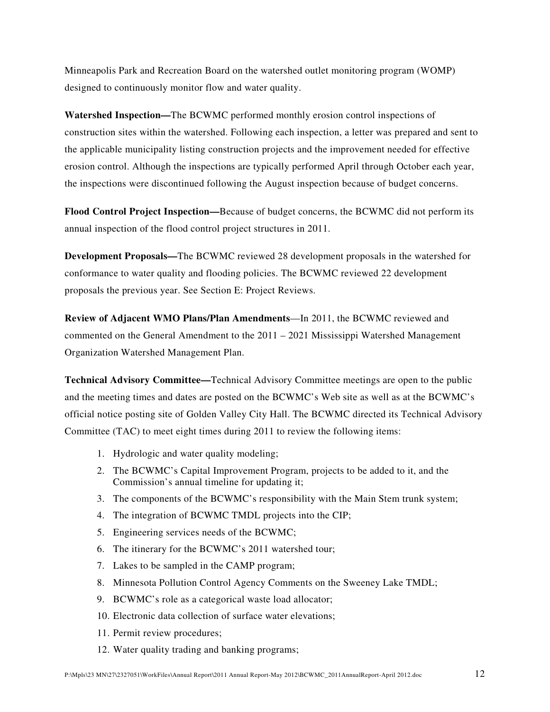Minneapolis Park and Recreation Board on the watershed outlet monitoring program (WOMP) designed to continuously monitor flow and water quality.

**Watershed Inspection—**The BCWMC performed monthly erosion control inspections of construction sites within the watershed. Following each inspection, a letter was prepared and sent to the applicable municipality listing construction projects and the improvement needed for effective erosion control. Although the inspections are typically performed April through October each year, the inspections were discontinued following the August inspection because of budget concerns.

**Flood Control Project Inspection—**Because of budget concerns, the BCWMC did not perform its annual inspection of the flood control project structures in 2011.

**Development Proposals—**The BCWMC reviewed 28 development proposals in the watershed for conformance to water quality and flooding policies. The BCWMC reviewed 22 development proposals the previous year. See Section E: Project Reviews.

**Review of Adjacent WMO Plans/Plan Amendments**—In 2011, the BCWMC reviewed and commented on the General Amendment to the 2011 – 2021 Mississippi Watershed Management Organization Watershed Management Plan.

**Technical Advisory Committee—**Technical Advisory Committee meetings are open to the public and the meeting times and dates are posted on the BCWMC's Web site as well as at the BCWMC's official notice posting site of Golden Valley City Hall. The BCWMC directed its Technical Advisory Committee (TAC) to meet eight times during 2011 to review the following items:

- 1. Hydrologic and water quality modeling;
- 2. The BCWMC's Capital Improvement Program, projects to be added to it, and the Commission's annual timeline for updating it;
- 3. The components of the BCWMC's responsibility with the Main Stem trunk system;
- 4. The integration of BCWMC TMDL projects into the CIP;
- 5. Engineering services needs of the BCWMC;
- 6. The itinerary for the BCWMC's 2011 watershed tour;
- 7. Lakes to be sampled in the CAMP program;
- 8. Minnesota Pollution Control Agency Comments on the Sweeney Lake TMDL;
- 9. BCWMC's role as a categorical waste load allocator;
- 10. Electronic data collection of surface water elevations;
- 11. Permit review procedures;
- 12. Water quality trading and banking programs;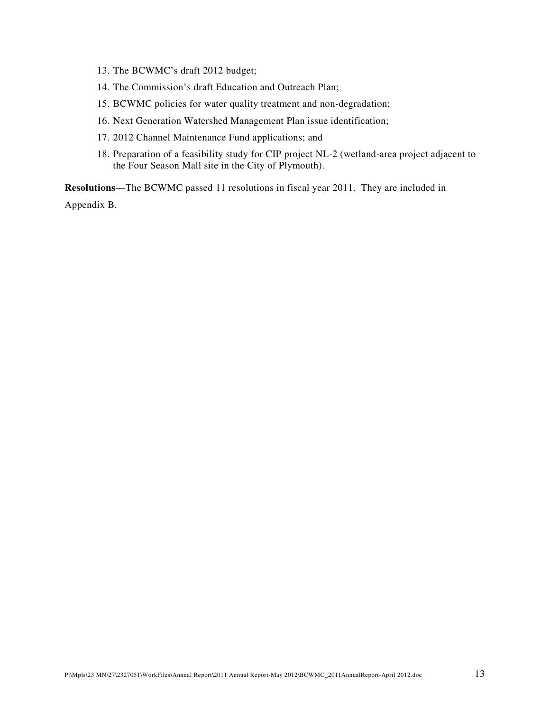- 13. The BCWMC's draft 2012 budget;
- 14. The Commission's draft Education and Outreach Plan;
- 15. BCWMC policies for water quality treatment and non-degradation;
- 16. Next Generation Watershed Management Plan issue identification;
- 17. 2012 Channel Maintenance Fund applications; and
- 18. Preparation of a feasibility study for CIP project NL-2 (wetland-area project adjacent to the Four Season Mall site in the City of Plymouth).

**Resolutions**—The BCWMC passed 11 resolutions in fiscal year 2011. They are included in Appendix B.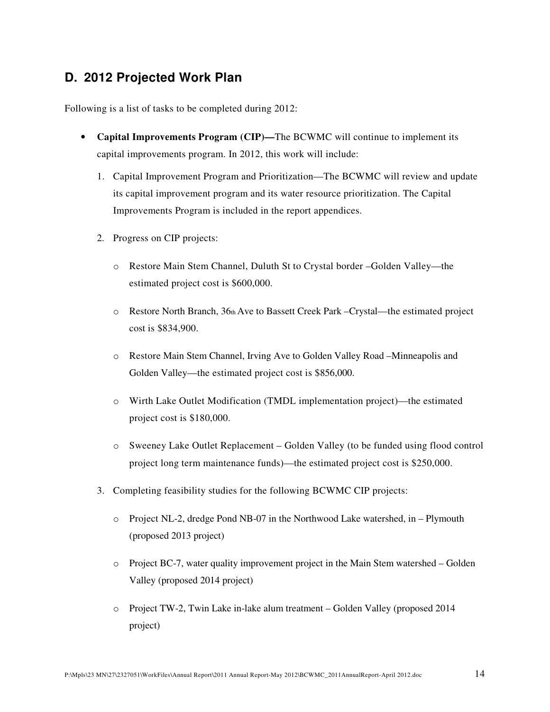## **D. 2012 Projected Work Plan**

Following is a list of tasks to be completed during 2012:

- **Capital Improvements Program (CIP)—**The BCWMC will continue to implement its capital improvements program. In 2012, this work will include:
	- 1. Capital Improvement Program and Prioritization—The BCWMC will review and update its capital improvement program and its water resource prioritization. The Capital Improvements Program is included in the report appendices.
	- 2. Progress on CIP projects:
		- o Restore Main Stem Channel, Duluth St to Crystal border –Golden Valley—the estimated project cost is \$600,000.
		- o Restore North Branch, 36th Ave to Bassett Creek Park –Crystal—the estimated project cost is \$834,900.
		- o Restore Main Stem Channel, Irving Ave to Golden Valley Road –Minneapolis and Golden Valley—the estimated project cost is \$856,000.
		- o Wirth Lake Outlet Modification (TMDL implementation project)—the estimated project cost is \$180,000.
		- o Sweeney Lake Outlet Replacement Golden Valley (to be funded using flood control project long term maintenance funds)—the estimated project cost is \$250,000.
	- 3. Completing feasibility studies for the following BCWMC CIP projects:
		- o Project NL-2, dredge Pond NB-07 in the Northwood Lake watershed, in Plymouth (proposed 2013 project)
		- o Project BC-7, water quality improvement project in the Main Stem watershed Golden Valley (proposed 2014 project)
		- o Project TW-2, Twin Lake in-lake alum treatment Golden Valley (proposed 2014 project)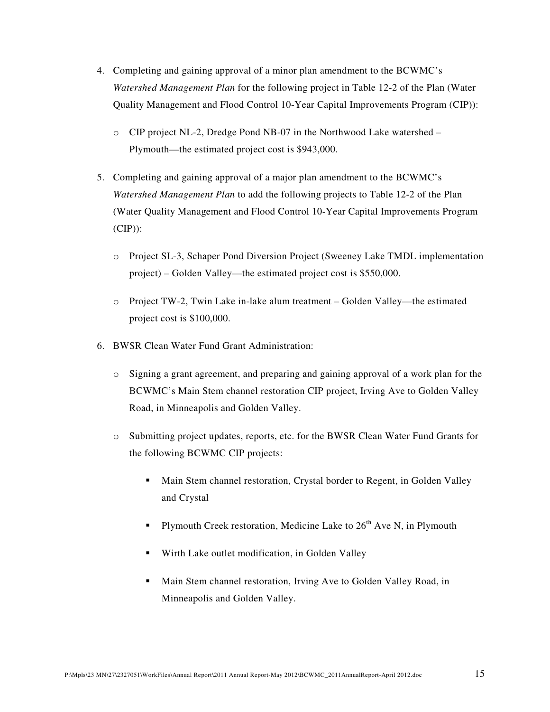- 4. Completing and gaining approval of a minor plan amendment to the BCWMC's *Watershed Management Plan* for the following project in Table 12-2 of the Plan (Water Quality Management and Flood Control 10-Year Capital Improvements Program (CIP)):
	- o CIP project NL-2, Dredge Pond NB-07 in the Northwood Lake watershed Plymouth—the estimated project cost is \$943,000.
- 5. Completing and gaining approval of a major plan amendment to the BCWMC's *Watershed Management Plan* to add the following projects to Table 12-2 of the Plan (Water Quality Management and Flood Control 10-Year Capital Improvements Program  $(CIP)$ :
	- o Project SL-3, Schaper Pond Diversion Project (Sweeney Lake TMDL implementation project) – Golden Valley—the estimated project cost is \$550,000.
	- o Project TW-2, Twin Lake in-lake alum treatment Golden Valley—the estimated project cost is \$100,000.
- 6. BWSR Clean Water Fund Grant Administration:
	- o Signing a grant agreement, and preparing and gaining approval of a work plan for the BCWMC's Main Stem channel restoration CIP project, Irving Ave to Golden Valley Road, in Minneapolis and Golden Valley.
	- o Submitting project updates, reports, etc. for the BWSR Clean Water Fund Grants for the following BCWMC CIP projects:
		- Main Stem channel restoration, Crystal border to Regent, in Golden Valley and Crystal
		- Plymouth Creek restoration, Medicine Lake to  $26<sup>th</sup>$  Ave N, in Plymouth
		- Wirth Lake outlet modification, in Golden Valley
		- Main Stem channel restoration, Irving Ave to Golden Valley Road, in Minneapolis and Golden Valley.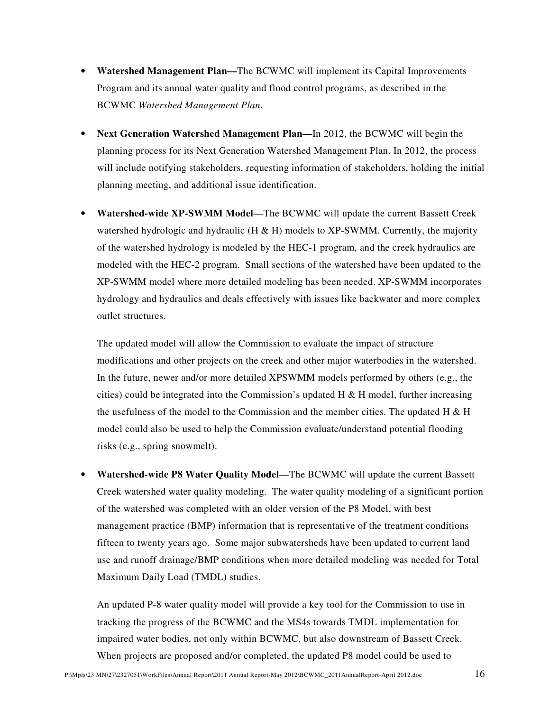- **Watershed Management Plan—**The BCWMC will implement its Capital Improvements Program and its annual water quality and flood control programs, as described in the BCWMC *Watershed Management Plan*.
- **Next Generation Watershed Management Plan—**In 2012, the BCWMC will begin the planning process for its Next Generation Watershed Management Plan. In 2012, the process will include notifying stakeholders, requesting information of stakeholders, holding the initial planning meeting, and additional issue identification.
- **Watershed-wide XP-SWMM Model**—The BCWMC will update the current Bassett Creek watershed hydrologic and hydraulic ( $H \& H$ ) models to XP-SWMM. Currently, the majority of the watershed hydrology is modeled by the HEC-1 program, and the creek hydraulics are modeled with the HEC-2 program. Small sections of the watershed have been updated to the XP-SWMM model where more detailed modeling has been needed. XP-SWMM incorporates hydrology and hydraulics and deals effectively with issues like backwater and more complex outlet structures.

The updated model will allow the Commission to evaluate the impact of structure modifications and other projects on the creek and other major waterbodies in the watershed. In the future, newer and/or more detailed XPSWMM models performed by others (e.g., the cities) could be integrated into the Commission's updated H & H model, further increasing the usefulness of the model to the Commission and the member cities. The updated  $H \& H$ model could also be used to help the Commission evaluate/understand potential flooding risks (e.g., spring snowmelt).

• **Watershed-wide P8 Water Quality Model**—The BCWMC will update the current Bassett Creek watershed water quality modeling. The water quality modeling of a significant portion of the watershed was completed with an older version of the P8 Model, with best management practice (BMP) information that is representative of the treatment conditions fifteen to twenty years ago. Some major subwatersheds have been updated to current land use and runoff drainage/BMP conditions when more detailed modeling was needed for Total Maximum Daily Load (TMDL) studies.

An updated P-8 water quality model will provide a key tool for the Commission to use in tracking the progress of the BCWMC and the MS4s towards TMDL implementation for impaired water bodies, not only within BCWMC, but also downstream of Bassett Creek. When projects are proposed and/or completed, the updated P8 model could be used to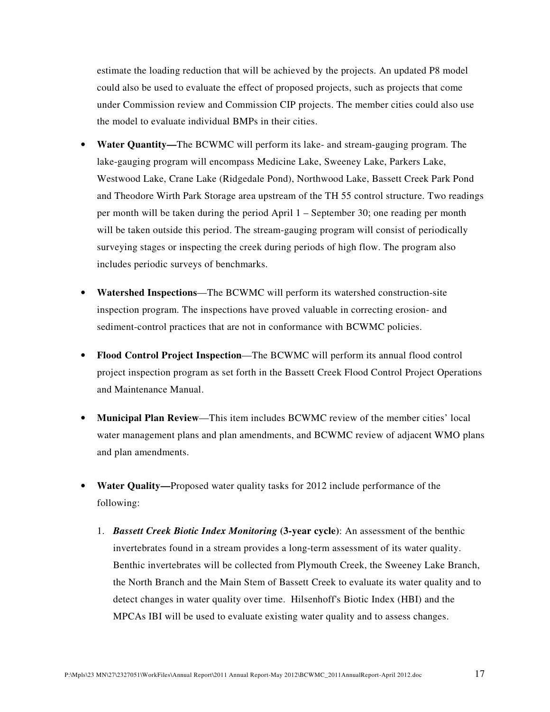estimate the loading reduction that will be achieved by the projects. An updated P8 model could also be used to evaluate the effect of proposed projects, such as projects that come under Commission review and Commission CIP projects. The member cities could also use the model to evaluate individual BMPs in their cities.

- **Water Quantity—**The BCWMC will perform its lake- and stream-gauging program. The lake-gauging program will encompass Medicine Lake, Sweeney Lake, Parkers Lake, Westwood Lake, Crane Lake (Ridgedale Pond), Northwood Lake, Bassett Creek Park Pond and Theodore Wirth Park Storage area upstream of the TH 55 control structure. Two readings per month will be taken during the period April 1 – September 30; one reading per month will be taken outside this period. The stream-gauging program will consist of periodically surveying stages or inspecting the creek during periods of high flow. The program also includes periodic surveys of benchmarks.
- **Watershed Inspections**—The BCWMC will perform its watershed construction-site inspection program. The inspections have proved valuable in correcting erosion- and sediment-control practices that are not in conformance with BCWMC policies.
- **Flood Control Project Inspection**—The BCWMC will perform its annual flood control project inspection program as set forth in the Bassett Creek Flood Control Project Operations and Maintenance Manual.
- **Municipal Plan Review**—This item includes BCWMC review of the member cities' local water management plans and plan amendments, and BCWMC review of adjacent WMO plans and plan amendments.
- **Water Quality—**Proposed water quality tasks for 2012 include performance of the following:
	- 1. *Bassett Creek Biotic Index Monitoring* **(3-year cycle)**: An assessment of the benthic invertebrates found in a stream provides a long-term assessment of its water quality. Benthic invertebrates will be collected from Plymouth Creek, the Sweeney Lake Branch, the North Branch and the Main Stem of Bassett Creek to evaluate its water quality and to detect changes in water quality over time. Hilsenhoff's Biotic Index (HBI) and the MPCAs IBI will be used to evaluate existing water quality and to assess changes.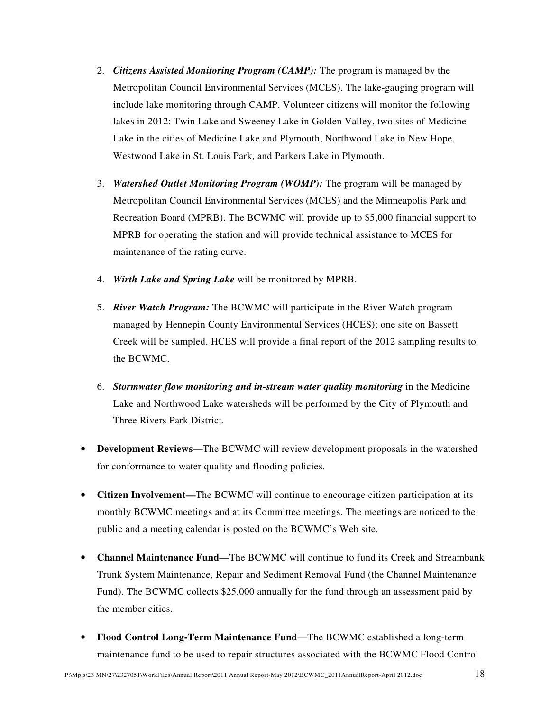- 2. *Citizens Assisted Monitoring Program (CAMP):* The program is managed by the Metropolitan Council Environmental Services (MCES). The lake-gauging program will include lake monitoring through CAMP. Volunteer citizens will monitor the following lakes in 2012: Twin Lake and Sweeney Lake in Golden Valley, two sites of Medicine Lake in the cities of Medicine Lake and Plymouth, Northwood Lake in New Hope, Westwood Lake in St. Louis Park, and Parkers Lake in Plymouth.
- 3. *Watershed Outlet Monitoring Program (WOMP):* The program will be managed by Metropolitan Council Environmental Services (MCES) and the Minneapolis Park and Recreation Board (MPRB). The BCWMC will provide up to \$5,000 financial support to MPRB for operating the station and will provide technical assistance to MCES for maintenance of the rating curve.
- 4. *Wirth Lake and Spring Lake* will be monitored by MPRB.
- 5. *River Watch Program:* The BCWMC will participate in the River Watch program managed by Hennepin County Environmental Services (HCES); one site on Bassett Creek will be sampled. HCES will provide a final report of the 2012 sampling results to the BCWMC.
- 6. *Stormwater flow monitoring and in-stream water quality monitoring* in the Medicine Lake and Northwood Lake watersheds will be performed by the City of Plymouth and Three Rivers Park District.
- **Development Reviews—**The BCWMC will review development proposals in the watershed for conformance to water quality and flooding policies.
- **Citizen Involvement—**The BCWMC will continue to encourage citizen participation at its monthly BCWMC meetings and at its Committee meetings. The meetings are noticed to the public and a meeting calendar is posted on the BCWMC's Web site.
- **Channel Maintenance Fund**—The BCWMC will continue to fund its Creek and Streambank Trunk System Maintenance, Repair and Sediment Removal Fund (the Channel Maintenance Fund). The BCWMC collects \$25,000 annually for the fund through an assessment paid by the member cities.
- **Flood Control Long-Term Maintenance Fund**—The BCWMC established a long-term maintenance fund to be used to repair structures associated with the BCWMC Flood Control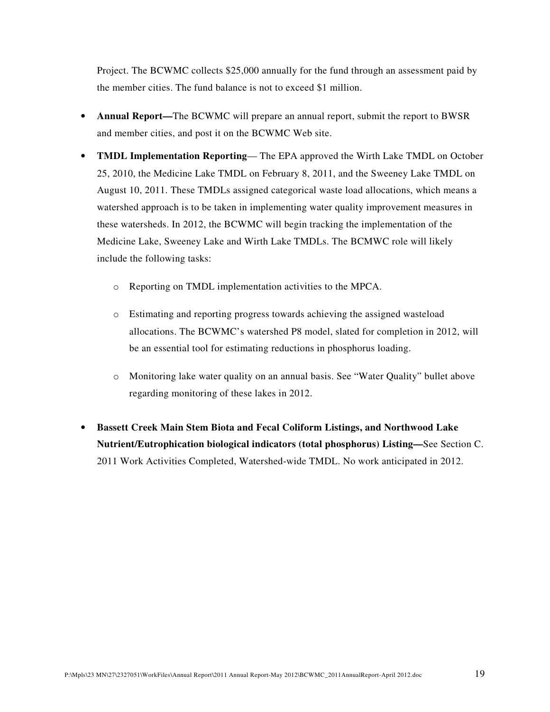Project. The BCWMC collects \$25,000 annually for the fund through an assessment paid by the member cities. The fund balance is not to exceed \$1 million.

- **Annual Report—**The BCWMC will prepare an annual report, submit the report to BWSR and member cities, and post it on the BCWMC Web site.
- **TMDL Implementation Reporting** The EPA approved the Wirth Lake TMDL on October 25, 2010, the Medicine Lake TMDL on February 8, 2011, and the Sweeney Lake TMDL on August 10, 2011. These TMDLs assigned categorical waste load allocations, which means a watershed approach is to be taken in implementing water quality improvement measures in these watersheds. In 2012, the BCWMC will begin tracking the implementation of the Medicine Lake, Sweeney Lake and Wirth Lake TMDLs. The BCMWC role will likely include the following tasks:
	- o Reporting on TMDL implementation activities to the MPCA.
	- o Estimating and reporting progress towards achieving the assigned wasteload allocations. The BCWMC's watershed P8 model, slated for completion in 2012, will be an essential tool for estimating reductions in phosphorus loading.
	- o Monitoring lake water quality on an annual basis. See "Water Quality" bullet above regarding monitoring of these lakes in 2012.
- **Bassett Creek Main Stem Biota and Fecal Coliform Listings, and Northwood Lake Nutrient/Eutrophication biological indicators (total phosphorus) Listing—**See Section C. 2011 Work Activities Completed, Watershed-wide TMDL. No work anticipated in 2012.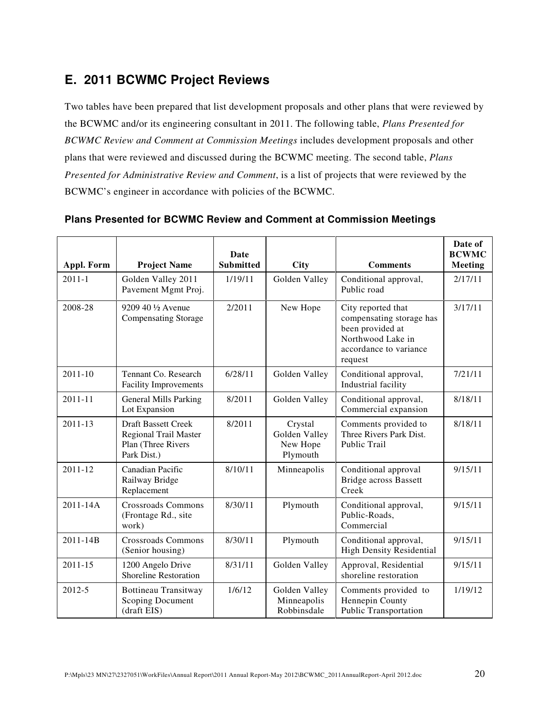## **E. 2011 BCWMC Project Reviews**

Two tables have been prepared that list development proposals and other plans that were reviewed by the BCWMC and/or its engineering consultant in 2011. The following table, *Plans Presented for BCWMC Review and Comment at Commission Meetings* includes development proposals and other plans that were reviewed and discussed during the BCWMC meeting. The second table, *Plans Presented for Administrative Review and Comment*, is a list of projects that were reviewed by the BCWMC's engineer in accordance with policies of the BCWMC.

|                   |                                                                                          | Date             |                                                  |                                                                                                                              | Date of<br><b>BCWMC</b> |
|-------------------|------------------------------------------------------------------------------------------|------------------|--------------------------------------------------|------------------------------------------------------------------------------------------------------------------------------|-------------------------|
| <b>Appl. Form</b> | <b>Project Name</b>                                                                      | <b>Submitted</b> | City                                             | <b>Comments</b>                                                                                                              | <b>Meeting</b>          |
| $2011 - 1$        | Golden Valley 2011<br>Pavement Mgmt Proj.                                                | 1/19/11          | Golden Valley                                    | Conditional approval,<br>Public road                                                                                         | 2/17/11                 |
| 2008-28           | 9209 40 1/2 Avenue<br><b>Compensating Storage</b>                                        | 2/2011           | New Hope                                         | City reported that<br>compensating storage has<br>been provided at<br>Northwood Lake in<br>accordance to variance<br>request | 3/17/11                 |
| $2011 - 10$       | Tennant Co. Research<br><b>Facility Improvements</b>                                     | 6/28/11          | Golden Valley                                    | Conditional approval,<br>Industrial facility                                                                                 | 7/21/11                 |
| 2011-11           | <b>General Mills Parking</b><br>Lot Expansion                                            | 8/2011           | Golden Valley                                    | Conditional approval,<br>Commercial expansion                                                                                | 8/18/11                 |
| 2011-13           | <b>Draft Bassett Creek</b><br>Regional Trail Master<br>Plan (Three Rivers<br>Park Dist.) | 8/2011           | Crystal<br>Golden Valley<br>New Hope<br>Plymouth | Comments provided to<br>Three Rivers Park Dist.<br>Public Trail                                                              | 8/18/11                 |
| 2011-12           | Canadian Pacific<br>Railway Bridge<br>Replacement                                        | 8/10/11          | Minneapolis                                      | Conditional approval<br><b>Bridge across Bassett</b><br>Creek                                                                | 9/15/11                 |
| 2011-14A          | <b>Crossroads Commons</b><br>(Frontage Rd., site<br>work)                                | 8/30/11          | Plymouth                                         | Conditional approval,<br>Public-Roads,<br>Commercial                                                                         | 9/15/11                 |
| $2011 - 14B$      | <b>Crossroads Commons</b><br>(Senior housing)                                            | 8/30/11          | Plymouth                                         | Conditional approval,<br><b>High Density Residential</b>                                                                     | 9/15/11                 |
| $2011 - 15$       | 1200 Angelo Drive<br>Shoreline Restoration                                               | 8/31/11          | Golden Valley                                    | Approval, Residential<br>shoreline restoration                                                                               | 9/15/11                 |
| 2012-5            | Bottineau Transitway<br><b>Scoping Document</b><br>(draft EIS)                           | 1/6/12           | Golden Valley<br>Minneapolis<br>Robbinsdale      | Comments provided to<br>Hennepin County<br><b>Public Transportation</b>                                                      | 1/19/12                 |

#### **Plans Presented for BCWMC Review and Comment at Commission Meetings**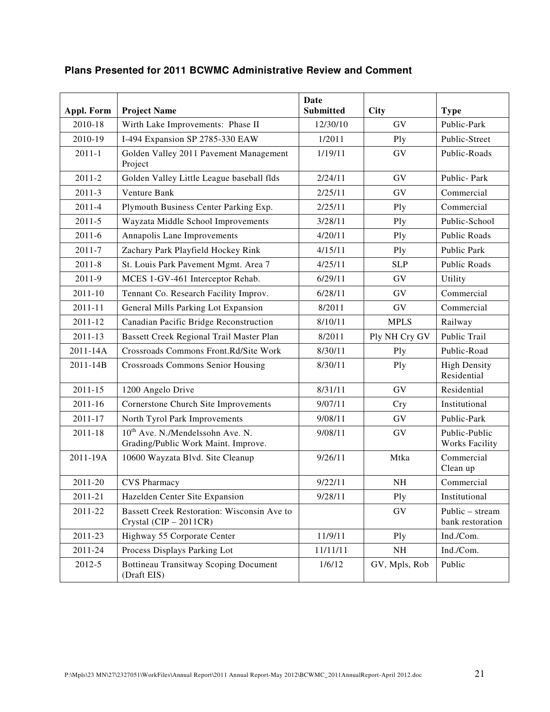| <b>Appl. Form</b> | <b>Project Name</b>                                                                 | <b>Date</b><br><b>Submitted</b> | <b>City</b>   | <b>Type</b>                            |
|-------------------|-------------------------------------------------------------------------------------|---------------------------------|---------------|----------------------------------------|
| 2010-18           | Wirth Lake Improvements: Phase II                                                   | 12/30/10                        | GV            | Public-Park                            |
| 2010-19           | I-494 Expansion SP 2785-330 EAW                                                     | 1/2011                          | Ply           | Public-Street                          |
| $2011 - 1$        | Golden Valley 2011 Pavement Management<br>Project                                   | 1/19/11                         | GV            | Public-Roads                           |
| $2011 - 2$        | Golden Valley Little League baseball flds                                           | 2/24/11                         | GV            | Public-Park                            |
| 2011-3            | Venture Bank                                                                        | 2/25/11                         | GV            | Commercial                             |
| 2011-4            | Plymouth Business Center Parking Exp.                                               | 2/25/11                         | Ply           | Commercial                             |
| $2011 - 5$        | Wayzata Middle School Improvements                                                  | 3/28/11                         | Ply           | Public-School                          |
| $2011 - 6$        | Annapolis Lane Improvements                                                         | 4/20/11                         | Ply           | Public Roads                           |
| 2011-7            | Zachary Park Playfield Hockey Rink                                                  | 4/15/11                         | Ply           | Public Park                            |
| $2011 - 8$        | St. Louis Park Pavement Mgmt. Area 7                                                | 4/25/11                         | <b>SLP</b>    | Public Roads                           |
| 2011-9            | MCES 1-GV-461 Interceptor Rehab.                                                    | 6/29/11                         | GV            | Utility                                |
| 2011-10           | Tennant Co. Research Facility Improv.                                               | 6/28/11                         | GV            | Commercial                             |
| 2011-11           | General Mills Parking Lot Expansion                                                 | 8/2011                          | GV            | Commercial                             |
| 2011-12           | Canadian Pacific Bridge Reconstruction                                              | 8/10/11                         | <b>MPLS</b>   | Railway                                |
| 2011-13           | Bassett Creek Regional Trail Master Plan                                            | 8/2011                          | Ply NH Cry GV | Public Trail                           |
| 2011-14A          | Crossroads Commons Front.Rd/Site Work                                               | 8/30/11                         | Ply           | Public-Road                            |
| 2011-14B          | Crossroads Commons Senior Housing                                                   | 8/30/11                         | Ply           | <b>High Density</b><br>Residential     |
| 2011-15           | 1200 Angelo Drive                                                                   | 8/31/11                         | GV            | Residential                            |
| 2011-16           | Cornerstone Church Site Improvements                                                | 9/07/11                         | <b>Cry</b>    | Institutional                          |
| 2011-17           | North Tyrol Park Improvements                                                       | 9/08/11                         | GV            | Public-Park                            |
| 2011-18           | 10 <sup>th</sup> Ave. N./Mendelssohn Ave. N.<br>Grading/Public Work Maint. Improve. | 9/08/11                         | GV            | Public-Public<br><b>Works Facility</b> |
| 2011-19A          | 10600 Wayzata Blvd. Site Cleanup                                                    | 9/26/11                         | Mtka          | Commercial<br>Clean up                 |
| 2011-20           | <b>CVS</b> Pharmacy                                                                 | 9/22/11                         | NH            | Commercial                             |
| 2011-21           | Hazelden Center Site Expansion                                                      | 9/28/11                         | Ply           | Institutional                          |
| 2011-22           | Bassett Creek Restoration: Wisconsin Ave to<br>Crystal (CIP - 2011CR)               |                                 | GV            | Public - stream<br>bank restoration    |
| 2011-23           | Highway 55 Corporate Center                                                         | 11/9/11                         | Ply           | Ind./Com.                              |
| 2011-24           | Process Displays Parking Lot                                                        | 11/11/11                        | NH            | Ind./Com.                              |
| 2012-5            | <b>Bottineau Transitway Scoping Document</b><br>(Draft EIS)                         | 1/6/12                          | GV, Mpls, Rob | Public                                 |

### **Plans Presented for 2011 BCWMC Administrative Review and Comment**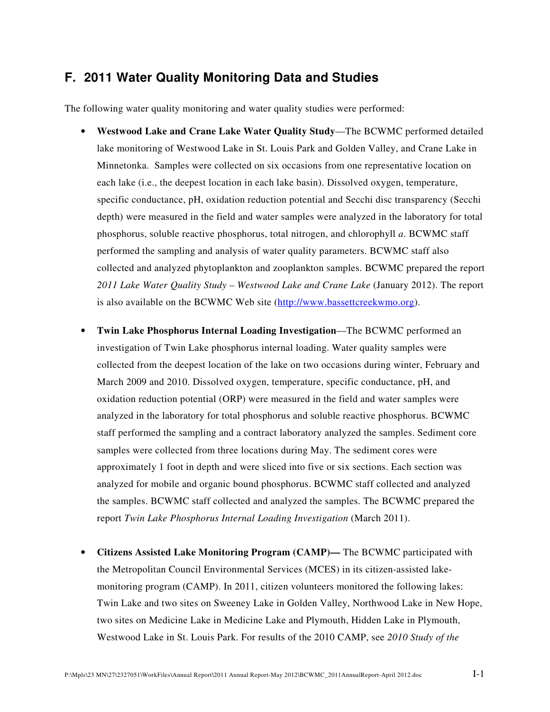## **F. 2011 Water Quality Monitoring Data and Studies**

The following water quality monitoring and water quality studies were performed:

- **Westwood Lake and Crane Lake Water Quality Study**—The BCWMC performed detailed lake monitoring of Westwood Lake in St. Louis Park and Golden Valley, and Crane Lake in Minnetonka. Samples were collected on six occasions from one representative location on each lake (i.e., the deepest location in each lake basin). Dissolved oxygen, temperature, specific conductance, pH, oxidation reduction potential and Secchi disc transparency (Secchi depth) were measured in the field and water samples were analyzed in the laboratory for total phosphorus, soluble reactive phosphorus, total nitrogen, and chlorophyll *a*. BCWMC staff performed the sampling and analysis of water quality parameters. BCWMC staff also collected and analyzed phytoplankton and zooplankton samples. BCWMC prepared the report *2011 Lake Water Quality Study – Westwood Lake and Crane Lake* (January 2012). The report is also available on the BCWMC Web site (http://www.bassettcreekwmo.org).
- **Twin Lake Phosphorus Internal Loading Investigation**—The BCWMC performed an investigation of Twin Lake phosphorus internal loading. Water quality samples were collected from the deepest location of the lake on two occasions during winter, February and March 2009 and 2010. Dissolved oxygen, temperature, specific conductance, pH, and oxidation reduction potential (ORP) were measured in the field and water samples were analyzed in the laboratory for total phosphorus and soluble reactive phosphorus. BCWMC staff performed the sampling and a contract laboratory analyzed the samples. Sediment core samples were collected from three locations during May. The sediment cores were approximately 1 foot in depth and were sliced into five or six sections. Each section was analyzed for mobile and organic bound phosphorus. BCWMC staff collected and analyzed the samples. BCWMC staff collected and analyzed the samples. The BCWMC prepared the report *Twin Lake Phosphorus Internal Loading Investigation* (March 2011).
- **Citizens Assisted Lake Monitoring Program (CAMP)—** The BCWMC participated with the Metropolitan Council Environmental Services (MCES) in its citizen-assisted lakemonitoring program (CAMP). In 2011, citizen volunteers monitored the following lakes: Twin Lake and two sites on Sweeney Lake in Golden Valley, Northwood Lake in New Hope, two sites on Medicine Lake in Medicine Lake and Plymouth, Hidden Lake in Plymouth, Westwood Lake in St. Louis Park. For results of the 2010 CAMP, see *2010 Study of the*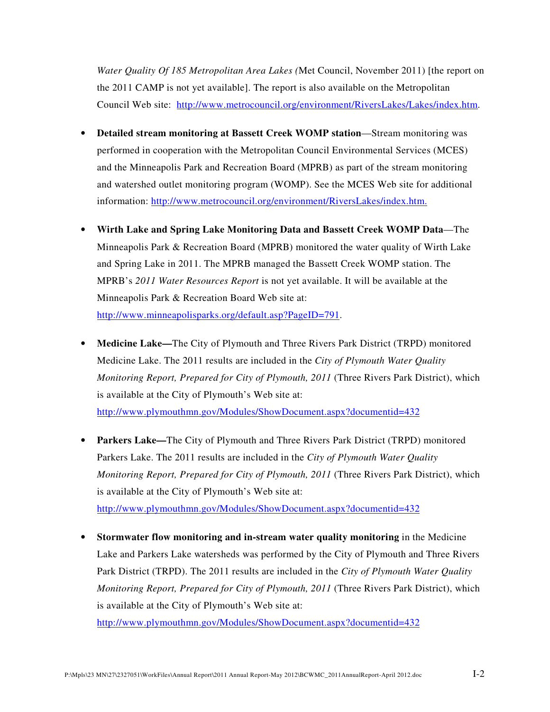*Water Quality Of 185 Metropolitan Area Lakes (*Met Council, November 2011) [the report on the 2011 CAMP is not yet available]. The report is also available on the Metropolitan Council Web site: http://www.metrocouncil.org/environment/RiversLakes/Lakes/index.htm.

- **Detailed stream monitoring at Bassett Creek WOMP station**—Stream monitoring was performed in cooperation with the Metropolitan Council Environmental Services (MCES) and the Minneapolis Park and Recreation Board (MPRB) as part of the stream monitoring and watershed outlet monitoring program (WOMP). See the MCES Web site for additional information: http://www.metrocouncil.org/environment/RiversLakes/index.htm.
- **Wirth Lake and Spring Lake Monitoring Data and Bassett Creek WOMP Data**—The Minneapolis Park & Recreation Board (MPRB) monitored the water quality of Wirth Lake and Spring Lake in 2011. The MPRB managed the Bassett Creek WOMP station. The MPRB's *2011 Water Resources Report* is not yet available. It will be available at the Minneapolis Park & Recreation Board Web site at: http://www.minneapolisparks.org/default.asp?PageID=791.
- **Medicine Lake—**The City of Plymouth and Three Rivers Park District (TRPD) monitored Medicine Lake. The 2011 results are included in the *City of Plymouth Water Quality Monitoring Report, Prepared for City of Plymouth, 2011* (Three Rivers Park District), which is available at the City of Plymouth's Web site at: http://www.plymouthmn.gov/Modules/ShowDocument.aspx?documentid=432
- **Parkers Lake—**The City of Plymouth and Three Rivers Park District (TRPD) monitored Parkers Lake. The 2011 results are included in the *City of Plymouth Water Quality Monitoring Report, Prepared for City of Plymouth, 2011* (Three Rivers Park District), which is available at the City of Plymouth's Web site at: http://www.plymouthmn.gov/Modules/ShowDocument.aspx?documentid=432
- **Stormwater flow monitoring and in-stream water quality monitoring** in the Medicine Lake and Parkers Lake watersheds was performed by the City of Plymouth and Three Rivers Park District (TRPD). The 2011 results are included in the *City of Plymouth Water Quality Monitoring Report, Prepared for City of Plymouth, 2011* (Three Rivers Park District), which is available at the City of Plymouth's Web site at:

http://www.plymouthmn.gov/Modules/ShowDocument.aspx?documentid=432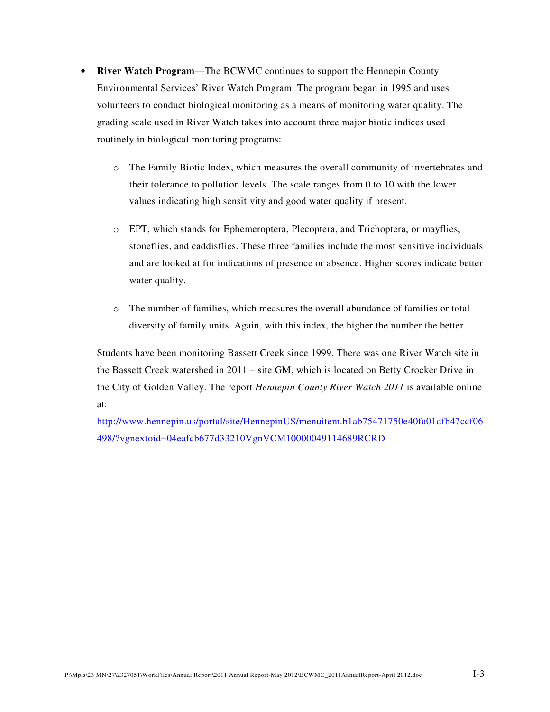- **River Watch Program**—The BCWMC continues to support the Hennepin County Environmental Services' River Watch Program. The program began in 1995 and uses volunteers to conduct biological monitoring as a means of monitoring water quality. The grading scale used in River Watch takes into account three major biotic indices used routinely in biological monitoring programs:
	- o The Family Biotic Index, which measures the overall community of invertebrates and their tolerance to pollution levels. The scale ranges from 0 to 10 with the lower values indicating high sensitivity and good water quality if present.
	- o EPT, which stands for Ephemeroptera, Plecoptera, and Trichoptera, or mayflies, stoneflies, and caddisflies. These three families include the most sensitive individuals and are looked at for indications of presence or absence. Higher scores indicate better water quality.
	- $\circ$  The number of families, which measures the overall abundance of families or total diversity of family units. Again, with this index, the higher the number the better.

Students have been monitoring Bassett Creek since 1999. There was one River Watch site in the Bassett Creek watershed in 2011 – site GM, which is located on Betty Crocker Drive in the City of Golden Valley. The report *Hennepin County River Watch 2011* is available online at:

http://www.hennepin.us/portal/site/HennepinUS/menuitem.b1ab75471750e40fa01dfb47ccf06 498/?vgnextoid=04eafcb677d33210VgnVCM10000049114689RCRD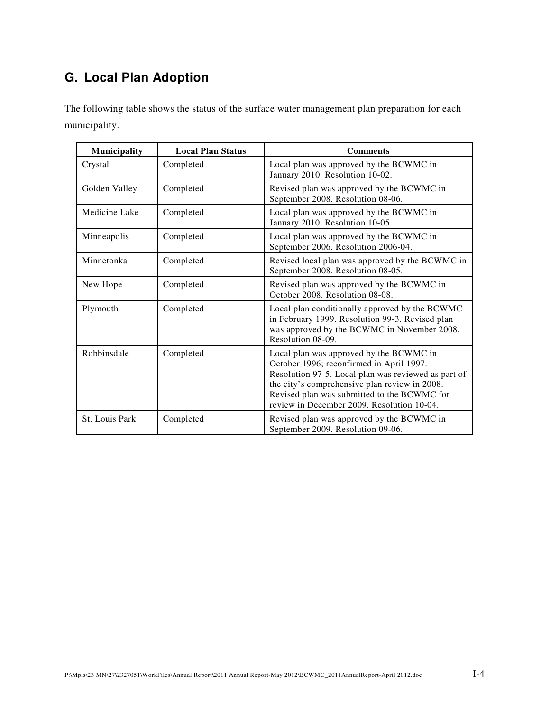## **G. Local Plan Adoption**

The following table shows the status of the surface water management plan preparation for each municipality.

| Municipality   | <b>Local Plan Status</b> | <b>Comments</b>                                                                                                                                                                                                                                                                          |
|----------------|--------------------------|------------------------------------------------------------------------------------------------------------------------------------------------------------------------------------------------------------------------------------------------------------------------------------------|
| Crystal        | Completed                | Local plan was approved by the BCWMC in<br>January 2010. Resolution 10-02.                                                                                                                                                                                                               |
| Golden Valley  | Completed                | Revised plan was approved by the BCWMC in<br>September 2008. Resolution 08-06.                                                                                                                                                                                                           |
| Medicine Lake  | Completed                | Local plan was approved by the BCWMC in<br>January 2010. Resolution 10-05.                                                                                                                                                                                                               |
| Minneapolis    | Completed                | Local plan was approved by the BCWMC in<br>September 2006. Resolution 2006-04.                                                                                                                                                                                                           |
| Minnetonka     | Completed                | Revised local plan was approved by the BCWMC in<br>September 2008. Resolution 08-05.                                                                                                                                                                                                     |
| New Hope       | Completed                | Revised plan was approved by the BCWMC in<br>October 2008. Resolution 08-08.                                                                                                                                                                                                             |
| Plymouth       | Completed                | Local plan conditionally approved by the BCWMC<br>in February 1999. Resolution 99-3. Revised plan<br>was approved by the BCWMC in November 2008.<br>Resolution 08-09.                                                                                                                    |
| Robbinsdale    | Completed                | Local plan was approved by the BCWMC in<br>October 1996; reconfirmed in April 1997.<br>Resolution 97-5. Local plan was reviewed as part of<br>the city's comprehensive plan review in 2008.<br>Revised plan was submitted to the BCWMC for<br>review in December 2009. Resolution 10-04. |
| St. Louis Park | Completed                | Revised plan was approved by the BCWMC in<br>September 2009. Resolution 09-06.                                                                                                                                                                                                           |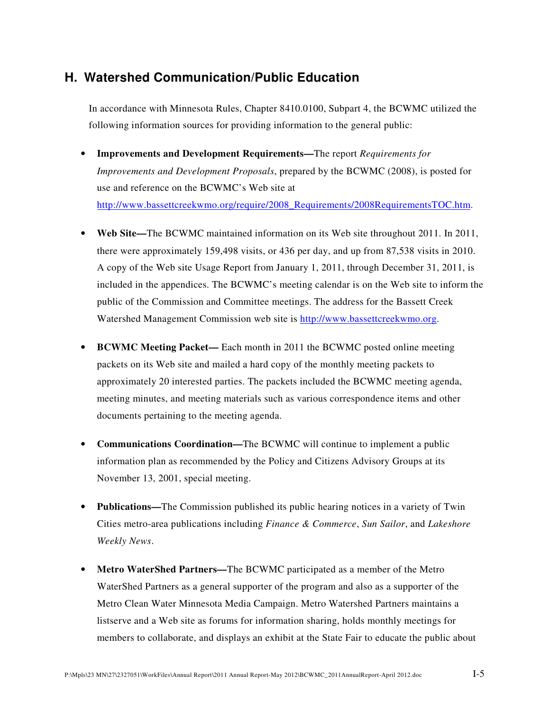## **H. Watershed Communication/Public Education**

In accordance with Minnesota Rules, Chapter 8410.0100, Subpart 4, the BCWMC utilized the following information sources for providing information to the general public:

- **Improvements and Development Requirements—**The report *Requirements for Improvements and Development Proposals*, prepared by the BCWMC (2008), is posted for use and reference on the BCWMC's Web site at http://www.bassettcreekwmo.org/require/2008\_Requirements/2008RequirementsTOC.htm.
- **Web Site—**The BCWMC maintained information on its Web site throughout 2011. In 2011, there were approximately 159,498 visits, or 436 per day, and up from 87,538 visits in 2010. A copy of the Web site Usage Report from January 1, 2011, through December 31, 2011, is included in the appendices. The BCWMC's meeting calendar is on the Web site to inform the public of the Commission and Committee meetings. The address for the Bassett Creek Watershed Management Commission web site is http://www.bassettcreekwmo.org.
- **BCWMC Meeting Packet—** Each month in 2011 the BCWMC posted online meeting packets on its Web site and mailed a hard copy of the monthly meeting packets to approximately 20 interested parties. The packets included the BCWMC meeting agenda, meeting minutes, and meeting materials such as various correspondence items and other documents pertaining to the meeting agenda.
- **Communications Coordination—**The BCWMC will continue to implement a public information plan as recommended by the Policy and Citizens Advisory Groups at its November 13, 2001, special meeting.
- **Publications—**The Commission published its public hearing notices in a variety of Twin Cities metro-area publications including *Finance & Commerce*, *Sun Sailor*, and *Lakeshore Weekly News*.
- **Metro WaterShed Partners—**The BCWMC participated as a member of the Metro WaterShed Partners as a general supporter of the program and also as a supporter of the Metro Clean Water Minnesota Media Campaign. Metro Watershed Partners maintains a listserve and a Web site as forums for information sharing, holds monthly meetings for members to collaborate, and displays an exhibit at the State Fair to educate the public about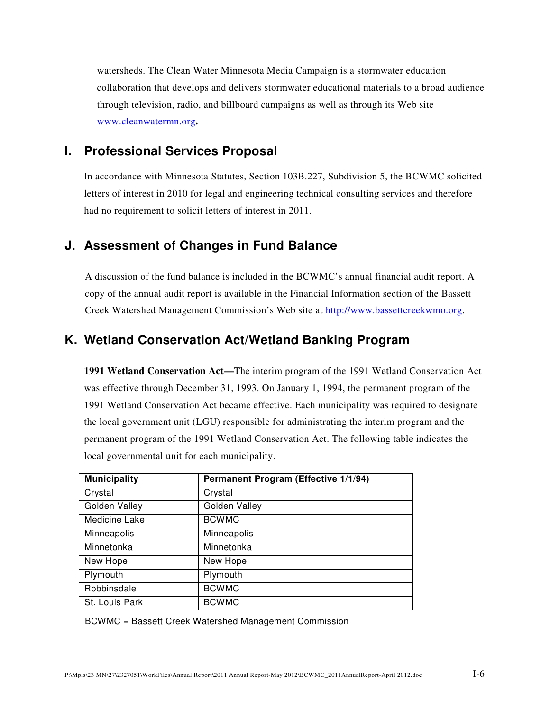watersheds. The Clean Water Minnesota Media Campaign is a stormwater education collaboration that develops and delivers stormwater educational materials to a broad audience through television, radio, and billboard campaigns as well as through its Web site www.cleanwatermn.org**.**

## **I. Professional Services Proposal**

In accordance with Minnesota Statutes, Section 103B.227, Subdivision 5, the BCWMC solicited letters of interest in 2010 for legal and engineering technical consulting services and therefore had no requirement to solicit letters of interest in 2011.

## **J. Assessment of Changes in Fund Balance**

A discussion of the fund balance is included in the BCWMC's annual financial audit report. A copy of the annual audit report is available in the Financial Information section of the Bassett Creek Watershed Management Commission's Web site at http://www.bassettcreekwmo.org.

## **K. Wetland Conservation Act/Wetland Banking Program**

**1991 Wetland Conservation Act—**The interim program of the 1991 Wetland Conservation Act was effective through December 31, 1993. On January 1, 1994, the permanent program of the 1991 Wetland Conservation Act became effective. Each municipality was required to designate the local government unit (LGU) responsible for administrating the interim program and the permanent program of the 1991 Wetland Conservation Act. The following table indicates the local governmental unit for each municipality.

| <b>Municipality</b> | Permanent Program (Effective 1/1/94) |
|---------------------|--------------------------------------|
| Crystal             | Crystal                              |
| Golden Valley       | Golden Valley                        |
| Medicine Lake       | <b>BCWMC</b>                         |
| Minneapolis         | Minneapolis                          |
| Minnetonka          | Minnetonka                           |
| New Hope            | New Hope                             |
| Plymouth            | Plymouth                             |
| Robbinsdale         | <b>BCWMC</b>                         |
| St. Louis Park      | <b>BCWMC</b>                         |

BCWMC = Bassett Creek Watershed Management Commission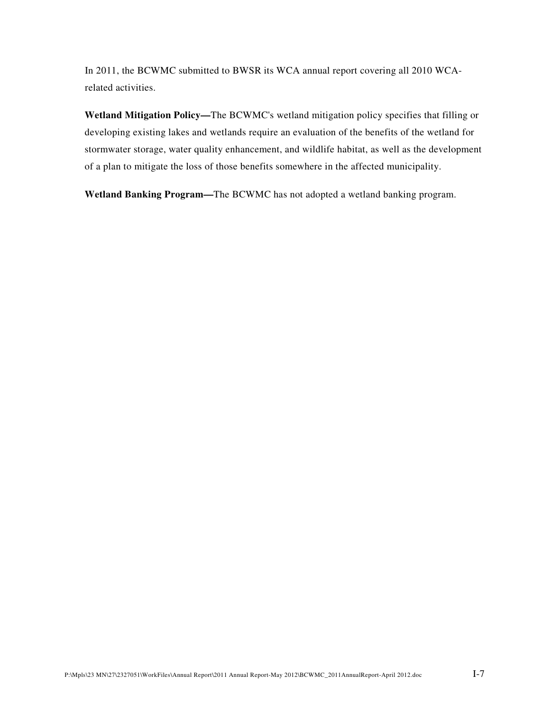In 2011, the BCWMC submitted to BWSR its WCA annual report covering all 2010 WCArelated activities.

**Wetland Mitigation Policy—**The BCWMC's wetland mitigation policy specifies that filling or developing existing lakes and wetlands require an evaluation of the benefits of the wetland for stormwater storage, water quality enhancement, and wildlife habitat, as well as the development of a plan to mitigate the loss of those benefits somewhere in the affected municipality.

**Wetland Banking Program—**The BCWMC has not adopted a wetland banking program.